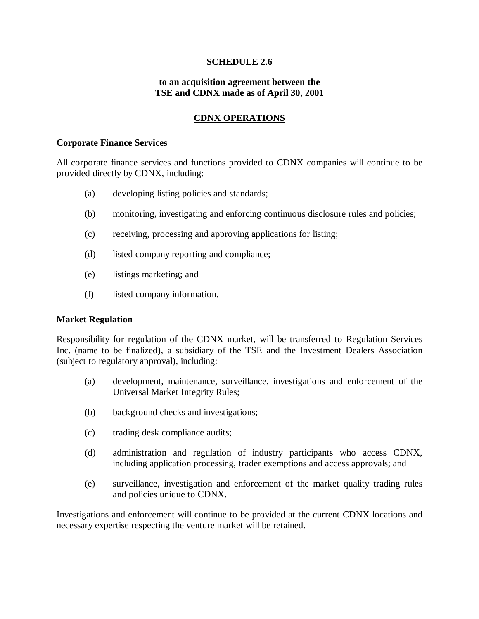# **SCHEDULE 2.6**

### **to an acquisition agreement between the TSE and CDNX made as of April 30, 2001**

# **CDNX OPERATIONS**

#### **Corporate Finance Services**

All corporate finance services and functions provided to CDNX companies will continue to be provided directly by CDNX, including:

- (a) developing listing policies and standards;
- (b) monitoring, investigating and enforcing continuous disclosure rules and policies;
- (c) receiving, processing and approving applications for listing;
- (d) listed company reporting and compliance;
- (e) listings marketing; and
- (f) listed company information.

# **Market Regulation**

Responsibility for regulation of the CDNX market, will be transferred to Regulation Services Inc. (name to be finalized), a subsidiary of the TSE and the Investment Dealers Association (subject to regulatory approval), including:

- (a) development, maintenance, surveillance, investigations and enforcement of the Universal Market Integrity Rules;
- (b) background checks and investigations;
- (c) trading desk compliance audits;
- (d) administration and regulation of industry participants who access CDNX, including application processing, trader exemptions and access approvals; and
- (e) surveillance, investigation and enforcement of the market quality trading rules and policies unique to CDNX.

Investigations and enforcement will continue to be provided at the current CDNX locations and necessary expertise respecting the venture market will be retained.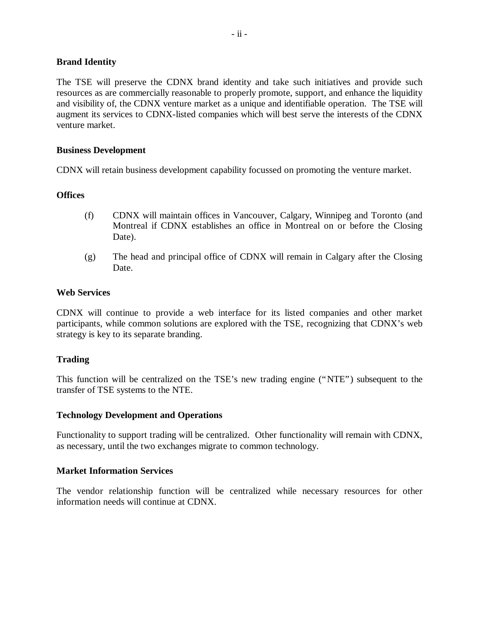# **Brand Identity**

The TSE will preserve the CDNX brand identity and take such initiatives and provide such resources as are commercially reasonable to properly promote, support, and enhance the liquidity and visibility of, the CDNX venture market as a unique and identifiable operation. The TSE will augment its services to CDNX-listed companies which will best serve the interests of the CDNX venture market.

# **Business Development**

CDNX will retain business development capability focussed on promoting the venture market.

# **Offices**

- (f) CDNX will maintain offices in Vancouver, Calgary, Winnipeg and Toronto (and Montreal if CDNX establishes an office in Montreal on or before the Closing Date).
- (g) The head and principal office of CDNX will remain in Calgary after the Closing Date.

# **Web Services**

CDNX will continue to provide a web interface for its listed companies and other market participants, while common solutions are explored with the TSE, recognizing that CDNX's web strategy is key to its separate branding.

# **Trading**

This function will be centralized on the TSE's new trading engine ("NTE") subsequent to the transfer of TSE systems to the NTE.

# **Technology Development and Operations**

Functionality to support trading will be centralized. Other functionality will remain with CDNX, as necessary, until the two exchanges migrate to common technology.

# **Market Information Services**

The vendor relationship function will be centralized while necessary resources for other information needs will continue at CDNX.